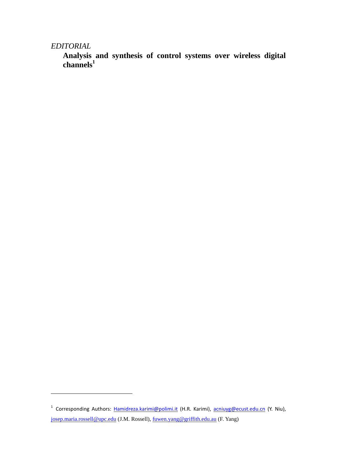## *EDITORIAL*

-

**Analysis and synthesis of control systems over wireless digital channels<sup>1</sup>**

<sup>&</sup>lt;sup>1</sup> Corresponding Authors: *Hamidreza.karimi@polimi.it* (H.R. Karimi), [acniuyg@ecust.edu.cn](mailto:acniuyg@ecust.edu.cn) (Y. Niu), [josep.maria.rossell@upc.edu](mailto:josep.maria.rossell@upc.edu) (J.M. Rossell), [fuwen.yang@griffith.edu.au](mailto:fuwen.yang@griffith.edu.au) (F. Yang)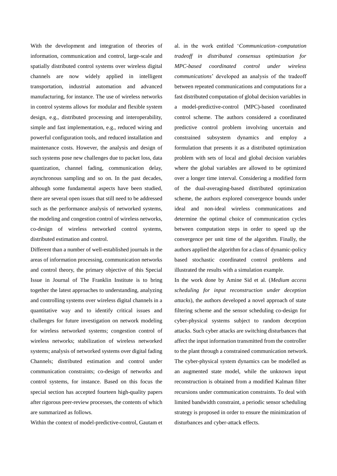With the development and integration of theories of information, communication and control, large-scale and spatially distributed control systems over wireless digital channels are now widely applied in intelligent transportation, industrial automation and advanced manufacturing, for instance. The use of wireless networks in control systems allows for modular and flexible system design, e.g., distributed processing and interoperability, simple and fast implementation, e.g., reduced wiring and powerful configuration tools, and reduced installation and maintenance costs. However, the analysis and design of such systems pose new challenges due to packet loss, data quantization, channel fading, communication delay, asynchronous sampling and so on. In the past decades, although some fundamental aspects have been studied, there are several open issues that still need to be addressed such as the performance analysis of networked systems, the modeling and congestion control of wireless networks, co-design of wireless networked control systems, distributed estimation and control.

Different than a number of well-established journals in the areas of information processing, communication networks and control theory, the primary objective of this Special Issue in Journal of The Franklin Institute is to bring together the latest approaches to understanding, analyzing and controlling systems over wireless digital channels in a quantitative way and to identify critical issues and challenges for future investigation on network modeling for wireless networked systems; congestion control of wireless networks; stabilization of wireless networked systems; analysis of networked systems over digital fading Channels; distributed estimation and control under communication constraints; co-design of networks and control systems, for instance. Based on this focus the special section has accepted fourteen high-quality papers after rigorous peer-review processes, the contents of which are summarized as follows.

Within the context of model-predictive-control, Gautam et

al. in the work entitled '*Communication–computation tradeoff in distributed consensus optimization for MPC-based coordinated control under wireless communications*' developed an analysis of the tradeoff between repeated communications and computations for a fast distributed computation of global decision variables in a model-predictive-control (MPC)-based coordinated control scheme. The authors considered a coordinated predictive control problem involving uncertain and constrained subsystem dynamics and employ a formulation that presents it as a distributed optimization problem with sets of local and global decision variables where the global variables are allowed to be optimized over a longer time interval. Considering a modified form of the dual-averaging-based distributed optimization scheme, the authors explored convergence bounds under ideal and non-ideal wireless communications and determine the optimal choice of communication cycles between computation steps in order to speed up the convergence per unit time of the algorithm. Finally, the authors applied the algorithm for a class of dynamic-policy based stochastic coordinated control problems and illustrated the results with a simulation example.

In the work done by Amine Sid et al. (*Medium access scheduling for input reconstruction under deception attacks*), the authors developed a novel approach of state filtering scheme and the sensor scheduling co-design for cyber-physical systems subject to random deception attacks. Such cyber attacks are switching disturbances that affect the input information transmitted from the controller to the plant through a constrained communication network. The cyber-physical system dynamics can be modelled as an augmented state model, while the unknown input reconstruction is obtained from a modified Kalman filter recursions under communication constraints. To deal with limited bandwidth constraint, a periodic sensor scheduling strategy is proposed in order to ensure the minimization of disturbances and cyber-attack effects.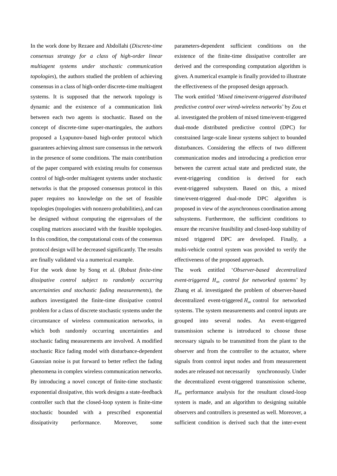In the work done by Rezaee and Abdollahi (*Discrete-time consensus strategy for a class of high-order linear multiagent systems under stochastic communication topologies*), the authors studied the problem of achieving consensus in a class of high-order discrete-time multiagent systems. It is supposed that the network topology is dynamic and the existence of a communication link between each two agents is stochastic. Based on the concept of discrete-time super-martingales, the authors proposed a Lyapunov-based high-order protocol which guarantees achieving almost sure consensus in the network in the presence of some conditions. The main contribution of the paper compared with existing results for consensus control of high-order multiagent systems under stochastic networks is that the proposed consensus protocol in this paper requires no knowledge on the set of feasible topologies (topologies with nonzero probabilities), and can be designed without computing the eigenvalues of the coupling matrices associated with the feasible topologies. In this condition, the computational costs of the consensus protocol design will be decreased significantly. The results are finally validated via a numerical example.

For the work done by Song et al. (*Robust finite-time dissipative control subject to randomly occurring uncertainties and stochastic fading measurements*), the authors investigated the finite-time dissipative control problem for a class of discrete stochastic systems under the circumstance of wireless communication networks, in which both randomly occurring uncertainties and stochastic fading measurements are involved. A modified stochastic Rice fading model with disturbance-dependent Gaussian noise is put forward to better reflect the fading phenomena in complex wireless communication networks. By introducing a novel concept of finite-time stochastic exponential dissipative, this work designs a state-feedback controller such that the closed-loop system is finite-time stochastic bounded with a prescribed exponential dissipativity performance. Moreover, some

parameters-dependent sufficient conditions on the existence of the finite-time dissipative controller are derived and the corresponding computation algorithm is given. A numerical example is finally provided to illustrate the effectiveness of the proposed design approach.

The work entitled '*Mixed time/event-triggered distributed predictive control over wired-wireless networks*' by Zou et al. investigated the problem of mixed time/event-triggered dual-mode distributed predictive control (DPC) for constrained large-scale linear systems subject to bounded disturbances. Considering the effects of two different communication modes and introducing a prediction error between the current actual state and predicted state, the event-triggering condition is derived for each event-triggered subsystem. Based on this, a mixed time/event-triggered dual-mode DPC algorithm is proposed in view of the asynchronous coordination among subsystems. Furthermore, the sufficient conditions to ensure the recursive feasibility and closed-loop stability of mixed triggered DPC are developed. Finally, a multi-vehicle control system was provided to verify the effectiveness of the proposed approach.

The work entitled '*Observer-based decentralized event-triggered* <sup>∞</sup> *control for networked systems*' by Zhang et al. investigated the problem of observer-based decentralized event-triggered  $H_{\infty}$  control for networked systems. The system measurements and control inputs are grouped into several nodes. An event-triggered transmission scheme is introduced to choose those necessary signals to be transmitted from the plant to the observer and from the controller to the actuator, where signals from control input nodes and from measurement nodes are released not necessarily synchronously. Under the decentralized event-triggered transmission scheme,  $H_{\infty}$  performance analysis for the resultant closed-loop system is made, and an algorithm to designing suitable observers and controllers is presented as well. Moreover, a sufficient condition is derived such that the inter-event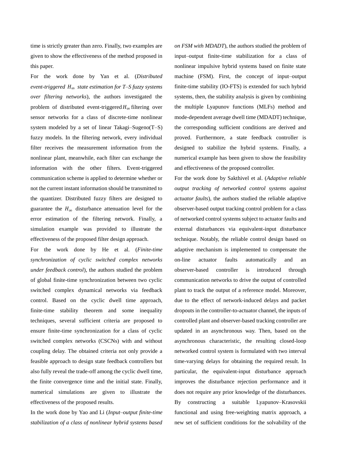time is strictly greater than zero. Finally, two examples are given to show the effectiveness of the method proposed in this paper.

For the work done by Yan et al. (*Distributed event-triggered*  $H_{\infty}$  *state estimation for T–S fuzzy systems over filtering networks*), the authors investigated the problem of distributed event-triggered  $H_{\infty}$  filtering over sensor networks for a class of discrete-time nonlinear system modeled by a set of linear Takagi–Sugeno(T–S) fuzzy models. In the filtering network, every individual filter receives the measurement information from the nonlinear plant, meanwhile, each filter can exchange the information with the other filters. Event-triggered communication scheme is applied to determine whether or not the current instant information should be transmitted to the quantizer. Distributed fuzzy filters are designed to guarantee the  $H_{\infty}$  disturbance attenuation level for the error estimation of the filtering network. Finally, a simulation example was provided to illustrate the effectiveness of the proposed filter design approach.

For the work done by He et al. (*Finite-time synchronization of cyclic switched complex networks under feedback control*), the authors studied the problem of global finite-time synchronization between two cyclic switched complex dynamical networks via feedback control. Based on the cyclic dwell time approach, finite-time stability theorem and some inequality techniques, several sufficient criteria are proposed to ensure finite-time synchronization for a class of cyclic switched complex networks (CSCNs) with and without coupling delay. The obtained criteria not only provide a feasible approach to design state feedback controllers but also fully reveal the trade-off among the cyclic dwell time, the finite convergence time and the initial state. Finally, numerical simulations are given to illustrate the effectiveness of the proposed results.

In the work done by Yao and Li (*Input–output finite-time stabilization of a class of nonlinear hybrid systems based*  *on FSM with MDADT*), the authors studied the problem of input–output finite-time stabilization for a class of nonlinear impulsive hybrid systems based on finite state machine (FSM). First, the concept of input–output finite-time stability (IO-FTS) is extended for such hybrid systems, then, the stability analysis is given by combining the multiple Lyapunov functions (MLFs) method and mode-dependent average dwell time (MDADT) technique, the corresponding sufficient conditions are derived and proved. Furthermore, a state feedback controller is designed to stabilize the hybrid systems. Finally, a numerical example has been given to show the feasibility and effectiveness of the proposed controller.

For the work done by Sakthivel et al. (*Adaptive reliable output tracking of networked control systems against actuator faults*), the authors studied the reliable adaptive observer-based output tracking control problem for a class of networked control systems subject to actuator faults and external disturbances via equivalent-input disturbance technique. Notably, the reliable control design based on adaptive mechanism is implemented to compensate the on-line actuator faults automatically and an observer-based controller is introduced through communication networks to drive the output of controlled plant to track the output of a reference model. Moreover, due to the effect of network-induced delays and packet dropouts in the controller-to-actuator channel, the inputs of controlled plant and observer-based tracking controller are updated in an asynchronous way. Then, based on the asynchronous characteristic, the resulting closed-loop networked control system is formulated with two interval time-varying delays for obtaining the required result. In particular, the equivalent-input disturbance approach improves the disturbance rejection performance and it does not require any prior knowledge of the disturbances. By constructing a suitable Lyapunov–Krasovskii functional and using free-weighting matrix approach, a new set of sufficient conditions for the solvability of the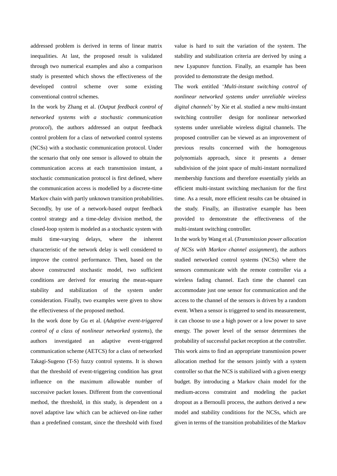addressed problem is derived in terms of linear matrix inequalities. At last, the proposed result is validated through two numerical examples and also a comparison study is presented which shows the effectiveness of the developed control scheme over some existing conventional control schemes.

In the work by Zhang et al. (*Output feedback control of networked systems with a stochastic communication protocol*), the authors addressed an output feedback control problem for a class of networked control systems (NCSs) with a stochastic communication protocol. Under the scenario that only one sensor is allowed to obtain the communication access at each transmission instant, a stochastic communication protocol is first defined, where the communication access is modelled by a discrete-time Markov chain with partly unknown transition probabilities. Secondly, by use of a network-based output feedback control strategy and a time-delay division method, the closed-loop system is modeled as a stochastic system with multi time-varying delays, where the inherent characteristic of the network delay is well considered to improve the control performance. Then, based on the above constructed stochastic model, two sufficient conditions are derived for ensuring the mean-square stability and stabilization of the system under consideration. Finally, two examples were given to show the effectiveness of the proposed method.

In the work done by Gu et al. (*Adaptive event-triggered control of a class of nonlinear networked systems*), the authors investigated an adaptive event-triggered communication scheme (AETCS) for a class of networked Takagi-Sugeno (T-S) fuzzy control systems. It is shown that the threshold of event-triggering condition has great influence on the maximum allowable number of successive packet losses. Different from the conventional method, the threshold, in this study, is dependent on a novel adaptive law which can be achieved on-line rather than a predefined constant, since the threshold with fixed

value is hard to suit the variation of the system. The stability and stabilization criteria are derived by using a new Lyapunov function. Finally, an example has been provided to demonstrate the design method.

The work entitled '*Multi-instant switching control of nonlinear networked systems under unreliable wireless digital channels*' by Xie et al. studied a new multi-instant switching controller design for nonlinear networked systems under unreliable wireless digital channels. The proposed controller can be viewed as an improvement of previous results concerned with the homogenous polynomials approach, since it presents a denser subdivision of the joint space of multi-instant normalized membership functions and therefore essentially yields an efficient multi-instant switching mechanism for the first time. As a result, more efficient results can be obtained in the study. Finally, an illustrative example has been provided to demonstrate the effectiveness of the multi-instant switching controller.

In the work by Wang et al. (*Transmission power allocation of NCSs with Markov channel assignment*), the authors studied networked control systems (NCSs) where the sensors communicate with the remote controller via a wireless fading channel. Each time the channel can accommodate just one sensor for communication and the access to the channel of the sensors is driven by a random event. When a sensor is triggered to send its measurement, it can choose to use a high power or a low power to save energy. The power level of the sensor determines the probability of successful packet reception at the controller. This work aims to find an appropriate transmission power allocation method for the sensors jointly with a system controller so that the NCS is stabilized with a given energy budget. By introducing a Markov chain model for the medium-access constraint and modeling the packet dropout as a Bernoulli process, the authors derived a new model and stability conditions for the NCSs, which are given in terms of the transition probabilities of the Markov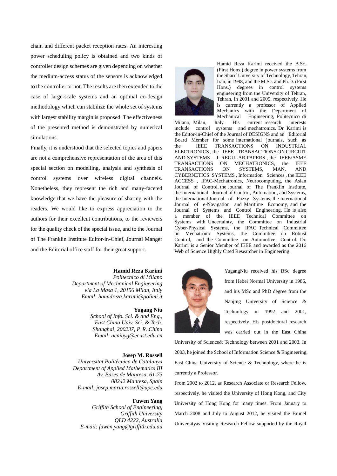chain and different packet reception rates. An interesting power scheduling policy is obtained and two kinds of controller design schemes are given depending on whether the medium-access status of the sensors is acknowledged to the controller or not. The results are then extended to the case of large-scale systems and an optimal co-design methodology which can stabilize the whole set of systems with largest stability margin is proposed. The effectiveness of the presented method is demonstrated by numerical simulations.

Finally, it is understood that the selected topics and papers are not a comprehensive representation of the area of this special section on modelling, analysis and synthesis of control systems over wireless digital channels. Nonetheless, they represent the rich and many-faceted knowledge that we have the pleasure of sharing with the readers. We would like to express appreciation to the authors for their excellent contributions, to the reviewers for the quality check of the special issue, and to the Journal of The Franklin Institute Editor-in-Chief, Journal Manger and the Editorial office staff for their great support.

## **Hamid Reza Karimi**

*Politecnico di Milano Department of Mechanical Engineering via La Masa 1, 20156 Milan, Italy Email: hamidreza.karimi@polimi.it*

**Yugang Niu**

*School of Info. Sci. & and Eng., East China Univ. Sci. & Tech. Shanghai, 200237, P. R. China Email: acniuyg@ecust.edu.cn*

## **Josep M. Rossell**

*Universitat Politècnica de Catalunya Department of Applied Mathematics III Av. Bases de Manresa, 61-73 08242 Manresa, Spain E-mail: josep.maria.rossell@upc.edu*

## **Fuwen Yang**

*Griffith School of Engineering, Griffith University QLD 4222, Australia E-mail: fuwen.yang@griffith.edu.au*



Hamid Reza Karimi received the B.Sc. (First Hons.) degree in power systems from the Sharif University of Technology, Tehran, Iran, in 1998, and the M.Sc. and Ph.D. (First Hons.) degrees in control systems engineering from the University of Tehran, Tehran, in 2001 and 2005, respectively. He is currently a professor of Applied Mechanics with the Department of Mechanical Engineering, Politecnico di

Milano, Milan, Italy. His current research interests include control systems and mechatronics. Dr. Karimi is the Editor-in-Chief of the Journal of DESIGNS and an Editorial Board Member for some international journals, such as the IEEE TRANSACTIONS ON INDUSTRIAL ELECTRONICS , the IEEE TRANSACTIONS ON CIRCUIT AND SYSTEMS —I: REGULAR PAPERS , the IEEE/ASME TRANSACTIONS ON MECHATRONICS, the IEEE TRANSACTIONS ON SYSTEMS, MAN, AND CYBERNETICS: SYSTEMS , Information Sciences , the IEEE ACCESS , IFAC-Mechatronics, Neurocomputing, the Asian Journal of Control, the Journal of The Franklin Institute, the International Journal of Control, Automation, and Systems, the International Journal of Fuzzy Systems, the International Journal of e-Navigation and Maritime Economy, and the Journal of Systems and Control Engineering. He is also a member of the IEEE Technical Committee on Systems with Uncertainty, the Committee on Industrial Cyber-Physical Systems, the IFAC Technical Committee on Mechatronic Systems, the Committee on Robust Control, and the Committee on Automotive Control. Dr. Karimi is a Senior Member of IEEE and awarded as the 2016 Web of Science Highly Cited Researcher in Engineering.



YugangNiu received his BSc degree from Hebei Normal University in 1986, and his MSc and PhD degree from the Nanjing University of Science & Technology in 1992 and 2001, respectively. His postdoctoral research was carried out in the East China

University of Science& Technology between 2001 and 2003. In 2003, he joined the School of Information Science & Engineering, East China University of Science & Technology, where he is currently a Professor.

From 2002 to 2012, as Research Associate or Research Fellow, respectively, he visited the University of Hong Kong, and City University of Hong Kong for many times. From January to March 2008 and July to August 2012, he visited the Brunel Universityas Visiting Research Fellow supported by the Royal